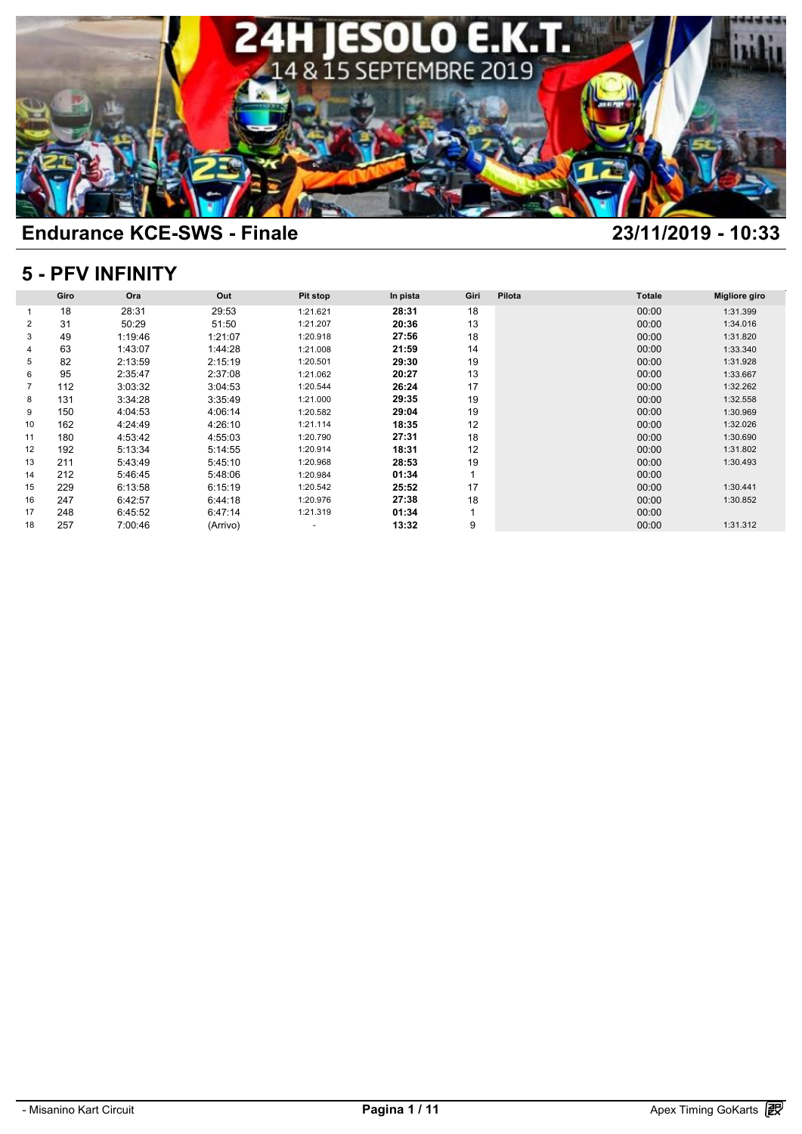

### **5 - PFV INFINITY**

| 5 - PFV INFINITY |      |         |          |                          |          |                |        |               |                      |  |  |
|------------------|------|---------|----------|--------------------------|----------|----------------|--------|---------------|----------------------|--|--|
|                  | Giro | Ora     | Out      | <b>Pit stop</b>          | In pista | Giri           | Pilota | <b>Totale</b> | <b>Migliore giro</b> |  |  |
|                  | 18   | 28:31   | 29:53    | 1:21.621                 | 28:31    | 18             |        | 00:00         | 1:31.399             |  |  |
| 2                | 31   | 50:29   | 51:50    | 1:21.207                 | 20:36    | 13             |        | 00:00         | 1:34.016             |  |  |
| 3                | 49   | 1:19:46 | 1:21:07  | 1:20.918                 | 27:56    | 18             |        | 00:00         | 1:31.820             |  |  |
|                  | 63   | 1:43:07 | 1:44:28  | 1:21.008                 | 21:59    | 14             |        | 00:00         | 1:33.340             |  |  |
| 5                | 82   | 2:13:59 | 2:15:19  | 1:20.501                 | 29:30    | 19             |        | 00:00         | 1:31.928             |  |  |
| 6                | 95   | 2:35:47 | 2:37:08  | 1:21.062                 | 20:27    | 13             |        | 00:00         | 1:33.667             |  |  |
| 7                | 112  | 3:03:32 | 3:04:53  | 1:20.544                 | 26:24    | 17             |        | 00:00         | 1:32.262             |  |  |
| 8                | 131  | 3:34:28 | 3:35:49  | 1:21.000                 | 29:35    | 19             |        | 00:00         | 1:32.558             |  |  |
| 9                | 150  | 4:04:53 | 4:06:14  | 1:20.582                 | 29:04    | 19             |        | 00:00         | 1:30.969             |  |  |
| 10               | 162  | 4:24:49 | 4:26:10  | 1:21.114                 | 18:35    | 12             |        | 00:00         | 1:32.026             |  |  |
| 11               | 180  | 4:53:42 | 4:55:03  | 1:20.790                 | 27:31    | 18             |        | 00:00         | 1:30.690             |  |  |
| 12               | 192  | 5:13:34 | 5:14:55  | 1:20.914                 | 18:31    | 12             |        | 00:00         | 1:31.802             |  |  |
| 13               | 211  | 5:43:49 | 5:45:10  | 1:20.968                 | 28:53    | 19             |        | 00:00         | 1:30.493             |  |  |
| 14               | 212  | 5:46:45 | 5:48:06  | 1:20.984                 | 01:34    | $\overline{1}$ |        | 00:00         |                      |  |  |
| 15               | 229  | 6:13:58 | 6:15:19  | 1:20.542                 | 25:52    | 17             |        | 00:00         | 1:30.441             |  |  |
| 16               | 247  | 6:42:57 | 6:44:18  | 1:20.976                 | 27:38    | 18             |        | 00:00         | 1:30.852             |  |  |
| 17               | 248  | 6:45:52 | 6:47:14  | 1:21.319                 | 01:34    | 1              |        | 00:00         |                      |  |  |
| 18               | 257  | 7:00:46 | (Arrivo) | $\overline{\phantom{a}}$ | 13:32    | 9              |        | 00:00         | 1:31.312             |  |  |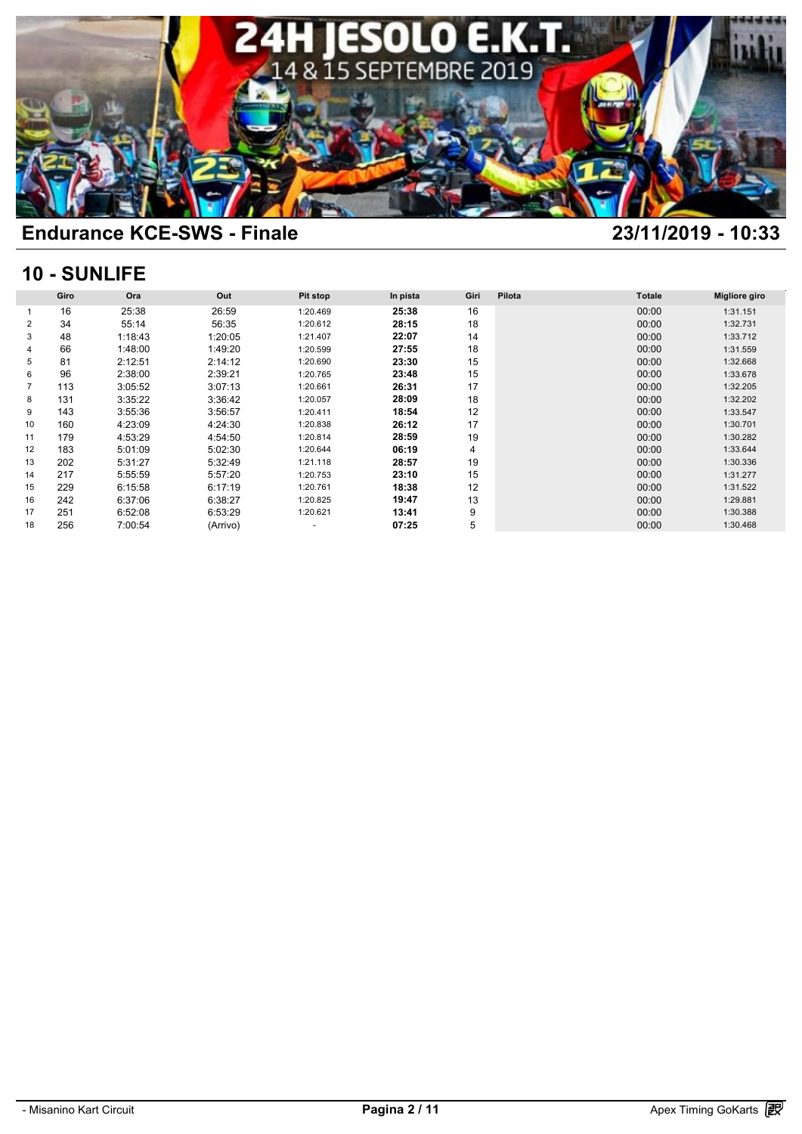

### **10 - SUNLIFE**

|                | 10 - SUNLIFE |         |          |                          |          |      |        |               |                      |  |  |  |  |
|----------------|--------------|---------|----------|--------------------------|----------|------|--------|---------------|----------------------|--|--|--|--|
|                | Giro         | Ora     | Out      | Pit stop                 | In pista | Giri | Pilota | <b>Totale</b> | <b>Migliore giro</b> |  |  |  |  |
|                | 16           | 25:38   | 26:59    | 1:20.469                 | 25:38    | 16   |        | 00:00         | 1:31.151             |  |  |  |  |
| 2              | 34           | 55:14   | 56:35    | 1:20.612                 | 28:15    | 18   |        | 00:00         | 1:32.731             |  |  |  |  |
| 3              | 48           | 1:18:43 | 1:20:05  | 1:21.407                 | 22:07    | 14   |        | 00:00         | 1:33.712             |  |  |  |  |
| 4              | 66           | 1:48:00 | 1:49:20  | 1:20.599                 | 27:55    | 18   |        | 00:00         | 1:31.559             |  |  |  |  |
| 5              | 81           | 2:12:51 | 2:14:12  | 1:20.690                 | 23:30    | 15   |        | 00:00         | 1:32.668             |  |  |  |  |
| 6              | 96           | 2:38:00 | 2:39:21  | 1:20.765                 | 23:48    | 15   |        | 00:00         | 1:33.678             |  |  |  |  |
| $\overline{7}$ | 113          | 3:05:52 | 3:07:13  | 1:20.661                 | 26:31    | 17   |        | 00:00         | 1:32.205             |  |  |  |  |
| 8              | 131          | 3:35:22 | 3:36:42  | 1:20.057                 | 28:09    | 18   |        | 00:00         | 1:32.202             |  |  |  |  |
| 9              | 143          | 3:55:36 | 3:56:57  | 1:20.411                 | 18:54    | 12   |        | 00:00         | 1:33.547             |  |  |  |  |
| 10             | 160          | 4:23:09 | 4:24:30  | 1:20.838                 | 26:12    | 17   |        | 00:00         | 1:30.701             |  |  |  |  |
| 11             | 179          | 4:53:29 | 4:54:50  | 1:20.814                 | 28:59    | 19   |        | 00:00         | 1:30.282             |  |  |  |  |
| 12             | 183          | 5:01:09 | 5:02:30  | 1:20.644                 | 06:19    | 4    |        | 00:00         | 1:33.644             |  |  |  |  |
| 13             | 202          | 5:31:27 | 5:32:49  | 1:21.118                 | 28:57    | 19   |        | 00:00         | 1:30.336             |  |  |  |  |
| 14             | 217          | 5:55:59 | 5:57:20  | 1:20.753                 | 23:10    | 15   |        | 00:00         | 1:31.277             |  |  |  |  |
| 15             | 229          | 6:15:58 | 6:17:19  | 1:20.761                 | 18:38    | 12   |        | 00:00         | 1:31.522             |  |  |  |  |
| 16             | 242          | 6:37:06 | 6:38:27  | 1:20.825                 | 19:47    | 13   |        | 00:00         | 1:29.881             |  |  |  |  |
| 17             | 251          | 6:52:08 | 6:53:29  | 1:20.621                 | 13:41    | 9    |        | 00:00         | 1:30.388             |  |  |  |  |
| 18             | 256          | 7:00:54 | (Arrivo) | $\overline{\phantom{a}}$ | 07:25    | 5    |        | 00:00         | 1:30.468             |  |  |  |  |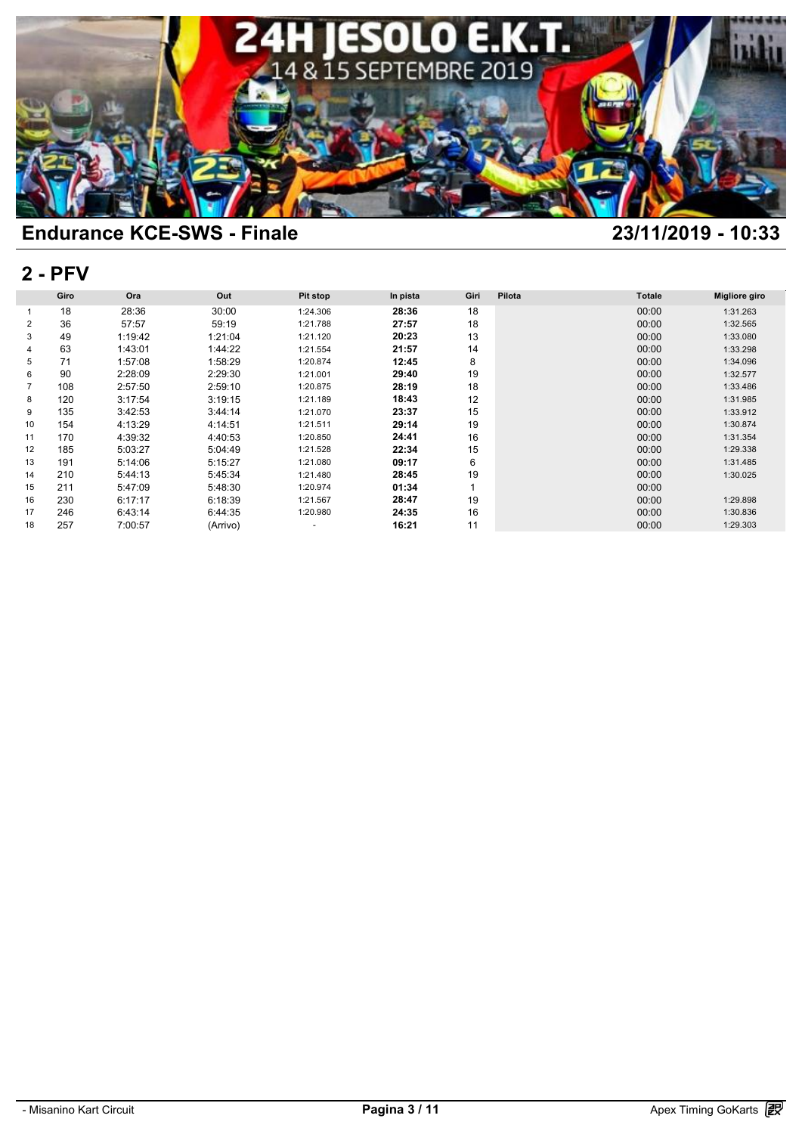

## **2 - PFV**

| $2 - P F V$ |      |         |          |                          |          |      |        |               |                      |  |  |
|-------------|------|---------|----------|--------------------------|----------|------|--------|---------------|----------------------|--|--|
|             | Giro | Ora     | Out      | Pit stop                 | In pista | Giri | Pilota | <b>Totale</b> | <b>Migliore giro</b> |  |  |
|             | 18   | 28:36   | 30:00    | 1:24.306                 | 28:36    | 18   |        | 00:00         | 1:31.263             |  |  |
| 2           | 36   | 57:57   | 59:19    | 1:21.788                 | 27:57    | 18   |        | 00:00         | 1:32.565             |  |  |
| 3           | 49   | 1:19:42 | 1:21:04  | 1:21.120                 | 20:23    | 13   |        | 00:00         | 1:33.080             |  |  |
| 4           | 63   | 1:43:01 | 1:44:22  | 1:21.554                 | 21:57    | 14   |        | 00:00         | 1:33.298             |  |  |
| 5           | 71   | 1:57:08 | 1:58:29  | 1:20.874                 | 12:45    | 8    |        | 00:00         | 1:34.096             |  |  |
| 6           | 90   | 2:28:09 | 2:29:30  | 1:21.001                 | 29:40    | 19   |        | 00:00         | 1:32.577             |  |  |
| 7           | 108  | 2:57:50 | 2:59:10  | 1:20.875                 | 28:19    | 18   |        | 00:00         | 1:33.486             |  |  |
| 8           | 120  | 3:17:54 | 3:19:15  | 1:21.189                 | 18:43    | 12   |        | 00:00         | 1:31.985             |  |  |
| 9           | 135  | 3:42:53 | 3:44:14  | 1:21.070                 | 23:37    | 15   |        | 00:00         | 1:33.912             |  |  |
| 10          | 154  | 4:13:29 | 4:14:51  | 1:21.511                 | 29:14    | 19   |        | 00:00         | 1:30.874             |  |  |
| 11          | 170  | 4:39:32 | 4:40:53  | 1:20.850                 | 24:41    | 16   |        | 00:00         | 1:31.354             |  |  |
| 12          | 185  | 5:03:27 | 5:04:49  | 1:21.528                 | 22:34    | 15   |        | 00:00         | 1:29.338             |  |  |
| 13          | 191  | 5:14:06 | 5:15:27  | 1:21.080                 | 09:17    | 6    |        | 00:00         | 1:31.485             |  |  |
| 14          | 210  | 5:44:13 | 5:45:34  | 1:21.480                 | 28:45    | 19   |        | 00:00         | 1:30.025             |  |  |
| 15          | 211  | 5:47:09 | 5:48:30  | 1:20.974                 | 01:34    |      |        | 00:00         |                      |  |  |
| 16          | 230  | 6:17:17 | 6:18:39  | 1:21.567                 | 28:47    | 19   |        | 00:00         | 1:29.898             |  |  |
| 17          | 246  | 6:43:14 | 6:44:35  | 1:20.980                 | 24:35    | 16   |        | 00:00         | 1:30.836             |  |  |
| 18          | 257  | 7:00:57 | (Arrivo) | $\overline{\phantom{a}}$ | 16:21    | 11   |        | 00:00         | 1:29.303             |  |  |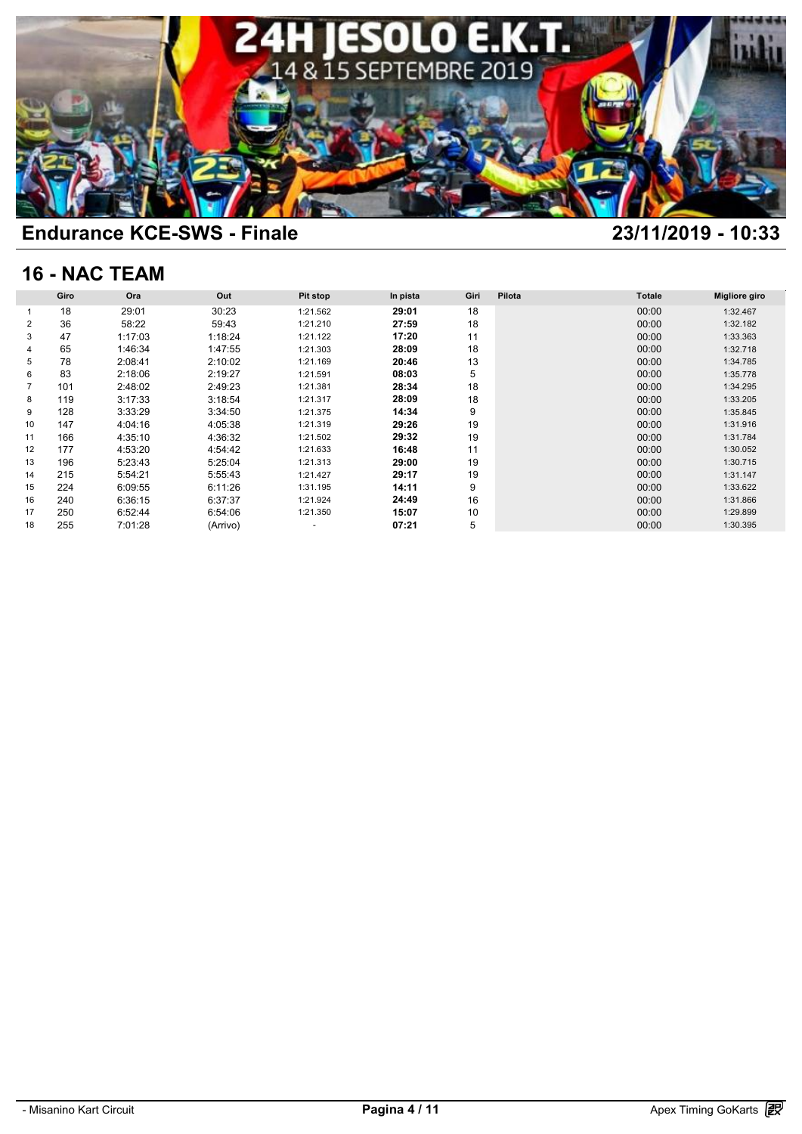

# **16 - NAC TEAM**

| <b>16 - NAC TEAM</b> |      |         |          |                          |          |      |        |               |                      |  |  |
|----------------------|------|---------|----------|--------------------------|----------|------|--------|---------------|----------------------|--|--|
|                      | Giro | Ora     | Out      | Pit stop                 | In pista | Giri | Pilota | <b>Totale</b> | <b>Migliore giro</b> |  |  |
|                      | 18   | 29:01   | 30:23    | 1:21.562                 | 29:01    | 18   |        | 00:00         | 1:32.467             |  |  |
| 2                    | 36   | 58:22   | 59:43    | 1:21.210                 | 27:59    | 18   |        | 00:00         | 1:32.182             |  |  |
| 3                    | 47   | 1:17:03 | 1:18:24  | 1:21.122                 | 17:20    | 11   |        | 00:00         | 1:33.363             |  |  |
| 4                    | 65   | 1:46:34 | 1:47:55  | 1:21.303                 | 28:09    | 18   |        | 00:00         | 1:32.718             |  |  |
| 5                    | 78   | 2:08:41 | 2:10:02  | 1:21.169                 | 20:46    | 13   |        | 00:00         | 1:34.785             |  |  |
| 6                    | 83   | 2:18:06 | 2:19:27  | 1:21.591                 | 08:03    | 5    |        | 00:00         | 1:35.778             |  |  |
| $\overline{7}$       | 101  | 2:48:02 | 2:49:23  | 1:21.381                 | 28:34    | 18   |        | 00:00         | 1:34.295             |  |  |
| 8                    | 119  | 3:17:33 | 3:18:54  | 1:21.317                 | 28:09    | 18   |        | 00:00         | 1:33.205             |  |  |
| 9                    | 128  | 3:33:29 | 3:34:50  | 1:21.375                 | 14:34    | 9    |        | 00:00         | 1:35.845             |  |  |
| 10                   | 147  | 4:04:16 | 4:05:38  | 1:21.319                 | 29:26    | 19   |        | 00:00         | 1:31.916             |  |  |
| 11                   | 166  | 4:35:10 | 4:36:32  | 1:21.502                 | 29:32    | 19   |        | 00:00         | 1:31.784             |  |  |
| 12                   | 177  | 4:53:20 | 4:54:42  | 1:21.633                 | 16:48    | 11   |        | 00:00         | 1:30.052             |  |  |
| 13                   | 196  | 5:23:43 | 5:25:04  | 1:21.313                 | 29:00    | 19   |        | 00:00         | 1:30.715             |  |  |
| 14                   | 215  | 5:54:21 | 5:55:43  | 1:21.427                 | 29:17    | 19   |        | 00:00         | 1:31.147             |  |  |
| 15                   | 224  | 6:09:55 | 6:11:26  | 1:31.195                 | 14:11    | 9    |        | 00:00         | 1:33.622             |  |  |
| 16                   | 240  | 6:36:15 | 6:37:37  | 1:21.924                 | 24:49    | 16   |        | 00:00         | 1:31.866             |  |  |
| 17                   | 250  | 6:52:44 | 6:54:06  | 1:21.350                 | 15:07    | 10   |        | 00:00         | 1:29.899             |  |  |
| 18                   | 255  | 7:01:28 | (Arrivo) | $\overline{\phantom{a}}$ | 07:21    | 5    |        | 00:00         | 1:30.395             |  |  |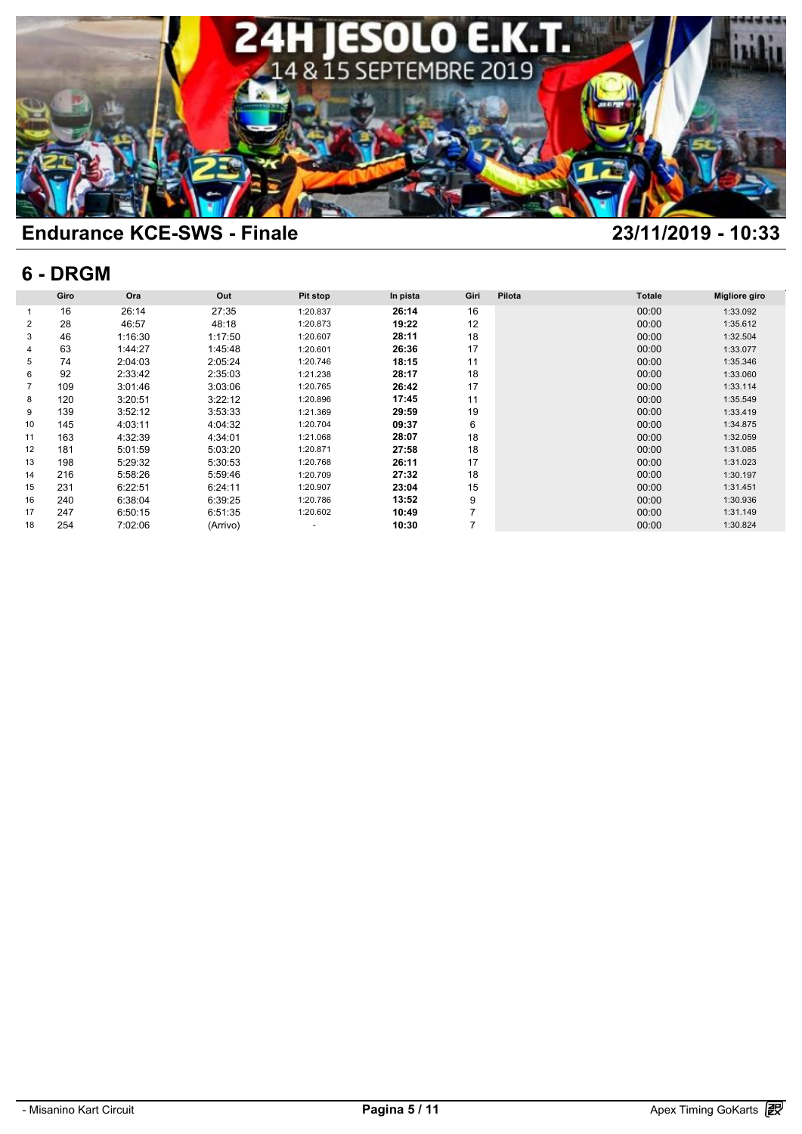

### **6 - DRGM**

| 6 - DRGM |      |         |          |                          |          |                |        |               |                      |  |  |
|----------|------|---------|----------|--------------------------|----------|----------------|--------|---------------|----------------------|--|--|
|          | Giro | Ora     | Out      | <b>Pit stop</b>          | In pista | Giri           | Pilota | <b>Totale</b> | <b>Migliore giro</b> |  |  |
|          | 16   | 26:14   | 27:35    | 1:20.837                 | 26:14    | 16             |        | 00:00         | 1:33.092             |  |  |
| 2        | 28   | 46:57   | 48:18    | 1:20.873                 | 19:22    | 12             |        | 00:00         | 1:35.612             |  |  |
| 3        | 46   | 1:16:30 | 1:17:50  | 1:20.607                 | 28:11    | 18             |        | 00:00         | 1:32.504             |  |  |
|          | 63   | 1:44:27 | 1:45:48  | 1:20.601                 | 26:36    | 17             |        | 00:00         | 1:33.077             |  |  |
| 5        | 74   | 2:04:03 | 2:05:24  | 1:20.746                 | 18:15    | 11             |        | 00:00         | 1:35.346             |  |  |
| 6        | 92   | 2:33:42 | 2:35:03  | 1:21.238                 | 28:17    | 18             |        | 00:00         | 1:33.060             |  |  |
| 7        | 109  | 3:01:46 | 3:03:06  | 1:20.765                 | 26:42    | 17             |        | 00:00         | 1:33.114             |  |  |
| 8        | 120  | 3:20:51 | 3:22:12  | 1:20.896                 | 17:45    | 11             |        | 00:00         | 1:35.549             |  |  |
| 9        | 139  | 3:52:12 | 3:53:33  | 1:21.369                 | 29:59    | 19             |        | 00:00         | 1:33.419             |  |  |
| 10       | 145  | 4:03:11 | 4:04:32  | 1:20.704                 | 09:37    | 6              |        | 00:00         | 1:34.875             |  |  |
| 11       | 163  | 4:32:39 | 4:34:01  | 1:21.068                 | 28:07    | 18             |        | 00:00         | 1:32.059             |  |  |
| 12       | 181  | 5:01:59 | 5:03:20  | 1:20.871                 | 27:58    | 18             |        | 00:00         | 1:31.085             |  |  |
| 13       | 198  | 5:29:32 | 5:30:53  | 1:20.768                 | 26:11    | 17             |        | 00:00         | 1:31.023             |  |  |
| 14       | 216  | 5:58:26 | 5:59:46  | 1:20.709                 | 27:32    | 18             |        | 00:00         | 1:30.197             |  |  |
| 15       | 231  | 6:22:51 | 6:24:11  | 1:20.907                 | 23:04    | 15             |        | 00:00         | 1:31.451             |  |  |
| 16       | 240  | 6:38:04 | 6:39:25  | 1:20.786                 | 13:52    | 9              |        | 00:00         | 1:30.936             |  |  |
| 17       | 247  | 6:50:15 | 6:51:35  | 1:20.602                 | 10:49    | $\overline{7}$ |        | 00:00         | 1:31.149             |  |  |
| 18       | 254  | 7:02:06 | (Arrivo) | $\overline{\phantom{a}}$ | 10:30    | $\overline{7}$ |        | 00:00         | 1:30.824             |  |  |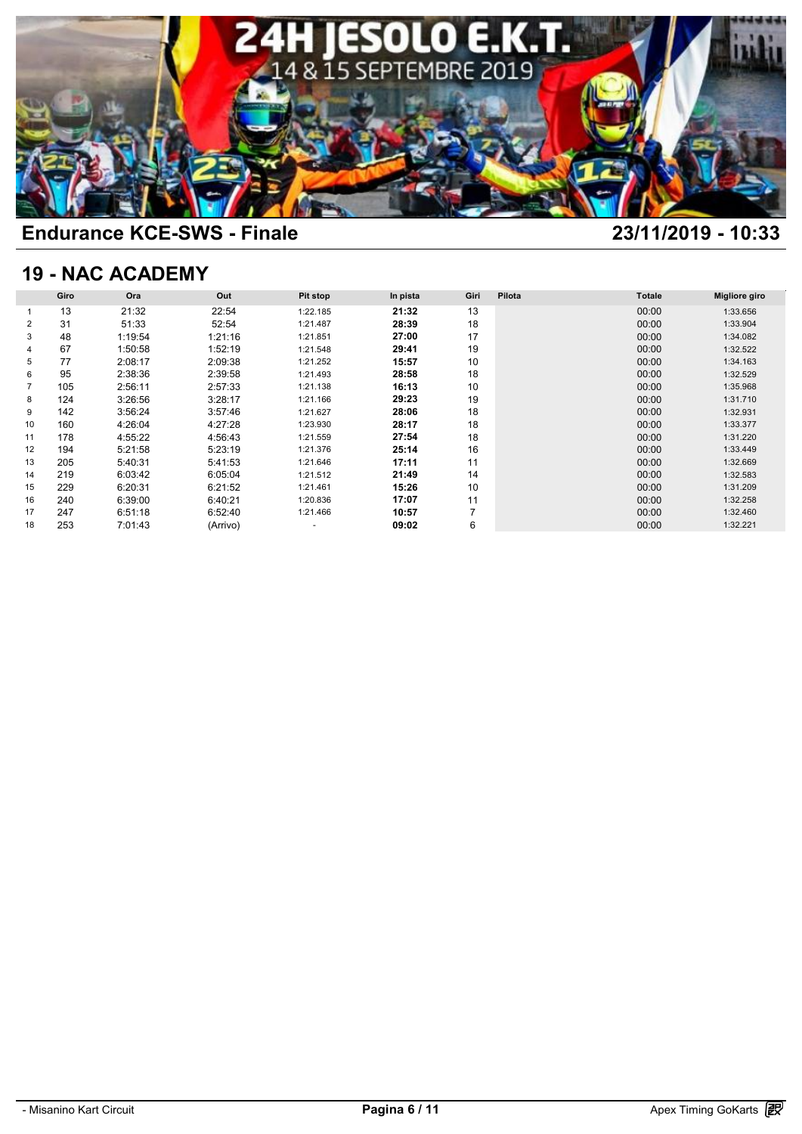

## **19 - NAC ACADEMY**

| <b>19 - NAC ACADEMY</b> |      |         |          |                          |          |                |        |               |                      |  |  |
|-------------------------|------|---------|----------|--------------------------|----------|----------------|--------|---------------|----------------------|--|--|
|                         | Giro | Ora     | Out      | <b>Pit stop</b>          | In pista | Giri           | Pilota | <b>Totale</b> | <b>Migliore giro</b> |  |  |
|                         | 13   | 21:32   | 22:54    | 1:22.185                 | 21:32    | 13             |        | 00:00         | 1:33.656             |  |  |
| 2                       | 31   | 51:33   | 52:54    | 1:21.487                 | 28:39    | 18             |        | 00:00         | 1:33.904             |  |  |
| 3                       | 48   | 1:19:54 | 1:21:16  | 1:21.851                 | 27:00    | 17             |        | 00:00         | 1:34.082             |  |  |
|                         | 67   | 1:50:58 | 1:52:19  | 1:21.548                 | 29:41    | 19             |        | 00:00         | 1:32.522             |  |  |
| 5                       | 77   | 2:08:17 | 2:09:38  | 1:21.252                 | 15:57    | 10             |        | 00:00         | 1:34.163             |  |  |
| 6                       | 95   | 2:38:36 | 2:39:58  | 1:21.493                 | 28:58    | 18             |        | 00:00         | 1:32.529             |  |  |
| 7                       | 105  | 2:56:11 | 2:57:33  | 1:21.138                 | 16:13    | 10             |        | 00:00         | 1:35.968             |  |  |
| 8                       | 124  | 3:26:56 | 3:28:17  | 1:21.166                 | 29:23    | 19             |        | 00:00         | 1:31.710             |  |  |
| 9                       | 142  | 3:56:24 | 3:57:46  | 1:21.627                 | 28:06    | 18             |        | 00:00         | 1:32.931             |  |  |
| 10                      | 160  | 4:26:04 | 4:27:28  | 1:23.930                 | 28:17    | 18             |        | 00:00         | 1:33.377             |  |  |
| 11                      | 178  | 4:55:22 | 4:56:43  | 1:21.559                 | 27:54    | 18             |        | 00:00         | 1:31.220             |  |  |
| 12                      | 194  | 5:21:58 | 5:23:19  | 1:21.376                 | 25:14    | 16             |        | 00:00         | 1:33.449             |  |  |
| 13                      | 205  | 5:40:31 | 5:41:53  | 1:21.646                 | 17:11    | 11             |        | 00:00         | 1:32.669             |  |  |
| 14                      | 219  | 6:03:42 | 6:05:04  | 1:21.512                 | 21:49    | 14             |        | 00:00         | 1:32.583             |  |  |
| 15                      | 229  | 6:20:31 | 6:21:52  | 1:21.461                 | 15:26    | 10             |        | 00:00         | 1:31.209             |  |  |
| 16                      | 240  | 6:39:00 | 6:40:21  | 1:20.836                 | 17:07    | 11             |        | 00:00         | 1:32.258             |  |  |
| 17                      | 247  | 6:51:18 | 6:52:40  | 1:21.466                 | 10:57    | $\overline{7}$ |        | 00:00         | 1:32.460             |  |  |
| 18                      | 253  | 7:01:43 | (Arrivo) | $\overline{\phantom{a}}$ | 09:02    | 6              |        | 00:00         | 1:32.221             |  |  |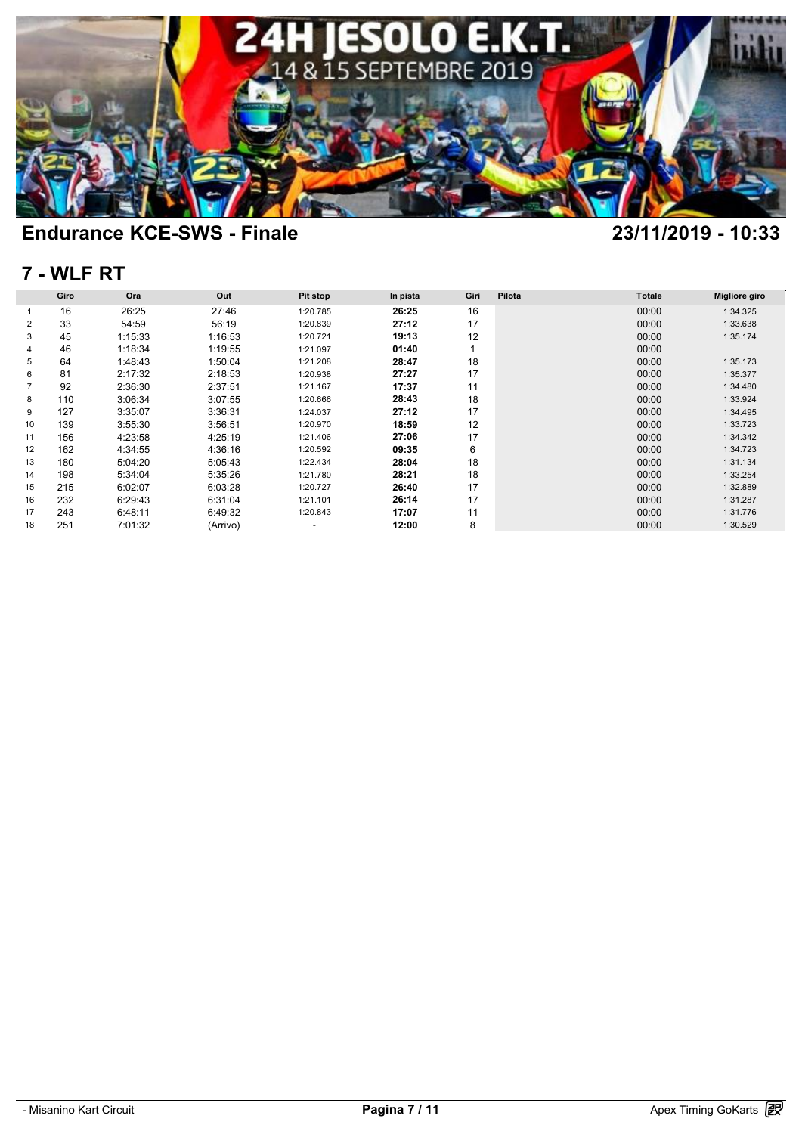

### **7 - WLF RT**

| 7 - WLF RT     |      |         |          |                          |          |      |        |               |                      |  |  |
|----------------|------|---------|----------|--------------------------|----------|------|--------|---------------|----------------------|--|--|
|                | Giro | Ora     | Out      | <b>Pit stop</b>          | In pista | Giri | Pilota | <b>Totale</b> | <b>Migliore giro</b> |  |  |
|                | 16   | 26:25   | 27:46    | 1:20.785                 | 26:25    | 16   |        | 00:00         | 1:34.325             |  |  |
| 2              | 33   | 54:59   | 56:19    | 1:20.839                 | 27:12    | 17   |        | 00:00         | 1:33.638             |  |  |
| 3              | 45   | 1:15:33 | 1:16:53  | 1:20.721                 | 19:13    | 12   |        | 00:00         | 1:35.174             |  |  |
|                | 46   | 1:18:34 | 1:19:55  | 1:21.097                 | 01:40    | 1    |        | 00:00         |                      |  |  |
| 5              | 64   | 1:48:43 | 1:50:04  | 1:21.208                 | 28:47    | 18   |        | 00:00         | 1:35.173             |  |  |
| 6              | 81   | 2:17:32 | 2:18:53  | 1:20.938                 | 27:27    | 17   |        | 00:00         | 1:35.377             |  |  |
| $\overline{7}$ | 92   | 2:36:30 | 2:37:51  | 1:21.167                 | 17:37    | 11   |        | 00:00         | 1:34.480             |  |  |
| 8              | 110  | 3:06:34 | 3:07:55  | 1:20.666                 | 28:43    | 18   |        | 00:00         | 1:33.924             |  |  |
| 9              | 127  | 3:35:07 | 3:36:31  | 1:24.037                 | 27:12    | 17   |        | 00:00         | 1:34.495             |  |  |
| 10             | 139  | 3:55:30 | 3:56:51  | 1:20.970                 | 18:59    | 12   |        | 00:00         | 1:33.723             |  |  |
| 11             | 156  | 4:23:58 | 4:25:19  | 1:21.406                 | 27:06    | 17   |        | 00:00         | 1:34.342             |  |  |
| 12             | 162  | 4:34:55 | 4:36:16  | 1:20.592                 | 09:35    | 6    |        | 00:00         | 1:34.723             |  |  |
| 13             | 180  | 5:04:20 | 5:05:43  | 1:22.434                 | 28:04    | 18   |        | 00:00         | 1:31.134             |  |  |
| 14             | 198  | 5:34:04 | 5:35:26  | 1:21.780                 | 28:21    | 18   |        | 00:00         | 1:33.254             |  |  |
| 15             | 215  | 6:02:07 | 6:03:28  | 1:20.727                 | 26:40    | 17   |        | 00:00         | 1:32.889             |  |  |
| 16             | 232  | 6:29:43 | 6:31:04  | 1:21.101                 | 26:14    | 17   |        | 00:00         | 1:31.287             |  |  |
| 17             | 243  | 6:48:11 | 6:49:32  | 1:20.843                 | 17:07    | 11   |        | 00:00         | 1:31.776             |  |  |
| 18             | 251  | 7:01:32 | (Arrivo) | $\overline{\phantom{a}}$ | 12:00    | 8    |        | 00:00         | 1:30.529             |  |  |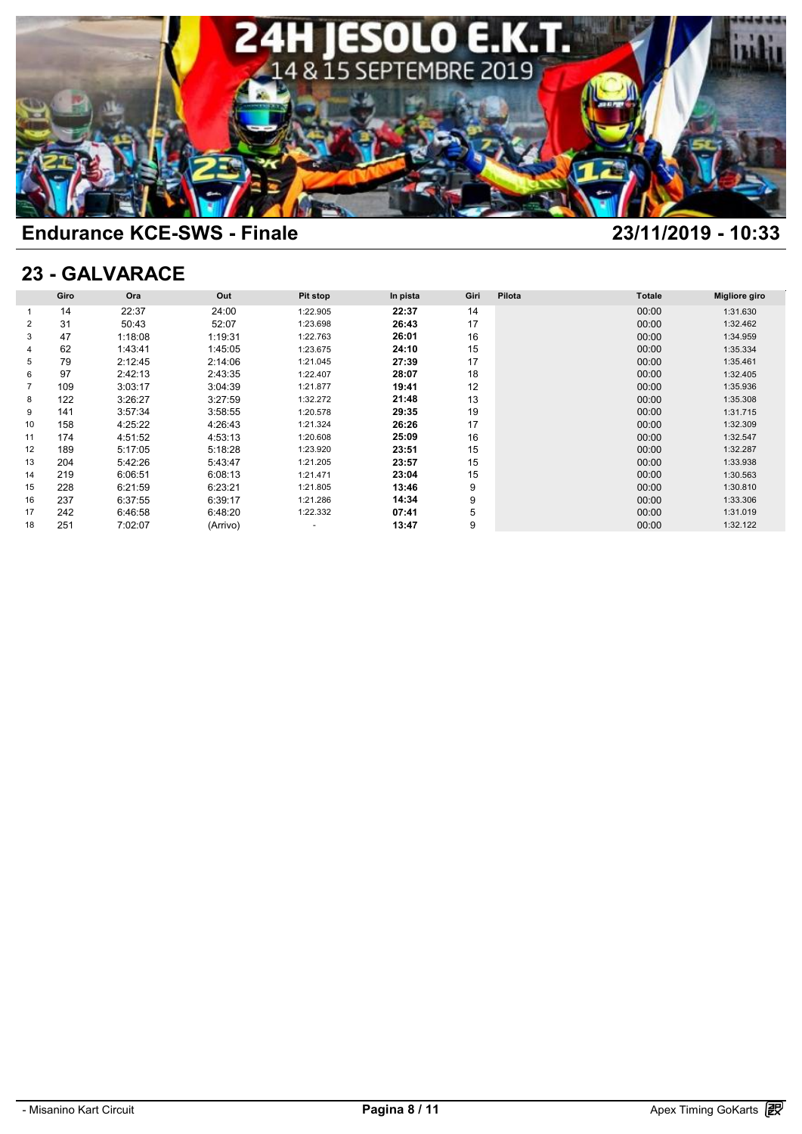

### **23 - GALVARACE**

| 23 - GALVARACE |      |         |          |                          |          |      |        |               |                      |  |  |
|----------------|------|---------|----------|--------------------------|----------|------|--------|---------------|----------------------|--|--|
|                | Giro | Ora     | Out      | Pit stop                 | In pista | Giri | Pilota | <b>Totale</b> | <b>Migliore giro</b> |  |  |
|                | 14   | 22:37   | 24:00    | 1:22.905                 | 22:37    | 14   |        | 00:00         | 1:31.630             |  |  |
| 2              | 31   | 50:43   | 52:07    | 1:23.698                 | 26:43    | 17   |        | 00:00         | 1:32.462             |  |  |
| 3              | 47   | 1:18:08 | 1:19:31  | 1:22.763                 | 26:01    | 16   |        | 00:00         | 1:34.959             |  |  |
| 4              | 62   | 1:43:41 | 1:45:05  | 1:23.675                 | 24:10    | 15   |        | 00:00         | 1:35.334             |  |  |
| 5              | 79   | 2:12:45 | 2:14:06  | 1:21.045                 | 27:39    | 17   |        | 00:00         | 1:35.461             |  |  |
| 6              | 97   | 2:42:13 | 2:43:35  | 1:22.407                 | 28:07    | 18   |        | 00:00         | 1:32.405             |  |  |
| $\overline{7}$ | 109  | 3:03:17 | 3:04:39  | 1:21.877                 | 19:41    | 12   |        | 00:00         | 1:35.936             |  |  |
| 8              | 122  | 3:26:27 | 3:27:59  | 1:32.272                 | 21:48    | 13   |        | 00:00         | 1:35.308             |  |  |
| 9              | 141  | 3:57:34 | 3:58:55  | 1:20.578                 | 29:35    | 19   |        | 00:00         | 1:31.715             |  |  |
| 10             | 158  | 4:25:22 | 4:26:43  | 1:21.324                 | 26:26    | 17   |        | 00:00         | 1:32.309             |  |  |
| 11             | 174  | 4:51:52 | 4:53:13  | 1:20.608                 | 25:09    | 16   |        | 00:00         | 1:32.547             |  |  |
| 12             | 189  | 5:17:05 | 5:18:28  | 1:23.920                 | 23:51    | 15   |        | 00:00         | 1:32.287             |  |  |
| 13             | 204  | 5:42:26 | 5:43:47  | 1:21.205                 | 23:57    | 15   |        | 00:00         | 1:33.938             |  |  |
| 14             | 219  | 6:06:51 | 6:08:13  | 1:21.471                 | 23:04    | 15   |        | 00:00         | 1:30.563             |  |  |
| 15             | 228  | 6:21:59 | 6:23:21  | 1:21.805                 | 13:46    | 9    |        | 00:00         | 1:30.810             |  |  |
| 16             | 237  | 6:37:55 | 6:39:17  | 1:21.286                 | 14:34    | 9    |        | 00:00         | 1:33.306             |  |  |
| 17             | 242  | 6:46:58 | 6:48:20  | 1:22.332                 | 07:41    | 5    |        | 00:00         | 1:31.019             |  |  |
| 18             | 251  | 7:02:07 | (Arrivo) | $\overline{\phantom{a}}$ | 13:47    | 9    |        | 00:00         | 1:32.122             |  |  |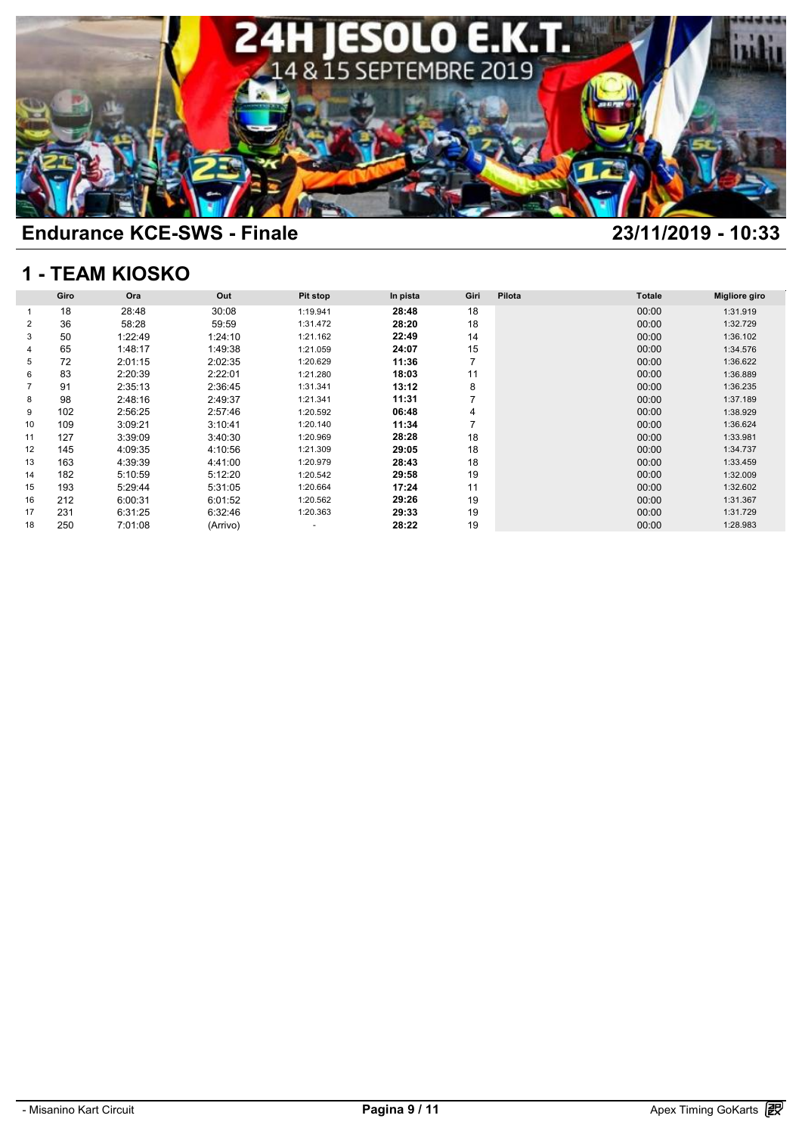

# **1 - TEAM KIOSKO**

| <b>1 - TEAM KIOSKO</b> |      |         |          |                          |          |                |        |               |                      |  |  |
|------------------------|------|---------|----------|--------------------------|----------|----------------|--------|---------------|----------------------|--|--|
|                        | Giro | Ora     | Out      | Pit stop                 | In pista | Giri           | Pilota | <b>Totale</b> | <b>Migliore giro</b> |  |  |
|                        | 18   | 28:48   | 30:08    | 1:19.941                 | 28:48    | 18             |        | 00:00         | 1:31.919             |  |  |
| 2                      | 36   | 58:28   | 59:59    | 1:31.472                 | 28:20    | 18             |        | 00:00         | 1:32.729             |  |  |
| 3                      | 50   | 1:22:49 | 1:24:10  | 1:21.162                 | 22:49    | 14             |        | 00:00         | 1:36.102             |  |  |
| 4                      | 65   | 1:48:17 | 1:49:38  | 1:21.059                 | 24:07    | 15             |        | 00:00         | 1:34.576             |  |  |
| 5                      | 72   | 2:01:15 | 2:02:35  | 1:20.629                 | 11:36    | 7              |        | 00:00         | 1:36.622             |  |  |
| 6                      | 83   | 2:20:39 | 2:22:01  | 1:21.280                 | 18:03    | 11             |        | 00:00         | 1:36.889             |  |  |
|                        | 91   | 2:35:13 | 2:36:45  | 1:31.341                 | 13:12    | 8              |        | 00:00         | 1:36.235             |  |  |
| 8                      | 98   | 2:48:16 | 2:49:37  | 1:21.341                 | 11:31    | 7              |        | 00:00         | 1:37.189             |  |  |
| 9                      | 102  | 2:56:25 | 2:57:46  | 1:20.592                 | 06:48    | 4              |        | 00:00         | 1:38.929             |  |  |
| 10                     | 109  | 3:09:21 | 3:10:41  | 1:20.140                 | 11:34    | $\overline{7}$ |        | 00:00         | 1:36.624             |  |  |
| 11                     | 127  | 3:39:09 | 3:40:30  | 1:20.969                 | 28:28    | 18             |        | 00:00         | 1:33.981             |  |  |
| 12                     | 145  | 4:09:35 | 4:10:56  | 1:21.309                 | 29:05    | 18             |        | 00:00         | 1:34.737             |  |  |
| 13                     | 163  | 4:39:39 | 4:41:00  | 1:20.979                 | 28:43    | 18             |        | 00:00         | 1:33.459             |  |  |
| 14                     | 182  | 5:10:59 | 5:12:20  | 1:20.542                 | 29:58    | 19             |        | 00:00         | 1:32.009             |  |  |
| 15                     | 193  | 5:29:44 | 5:31:05  | 1:20.664                 | 17:24    | 11             |        | 00:00         | 1:32.602             |  |  |
| 16                     | 212  | 6:00:31 | 6:01:52  | 1:20.562                 | 29:26    | 19             |        | 00:00         | 1:31.367             |  |  |
| 17                     | 231  | 6:31:25 | 6:32:46  | 1:20.363                 | 29:33    | 19             |        | 00:00         | 1:31.729             |  |  |
| 18                     | 250  | 7:01:08 | (Arrivo) | $\overline{\phantom{a}}$ | 28:22    | 19             |        | 00:00         | 1:28.983             |  |  |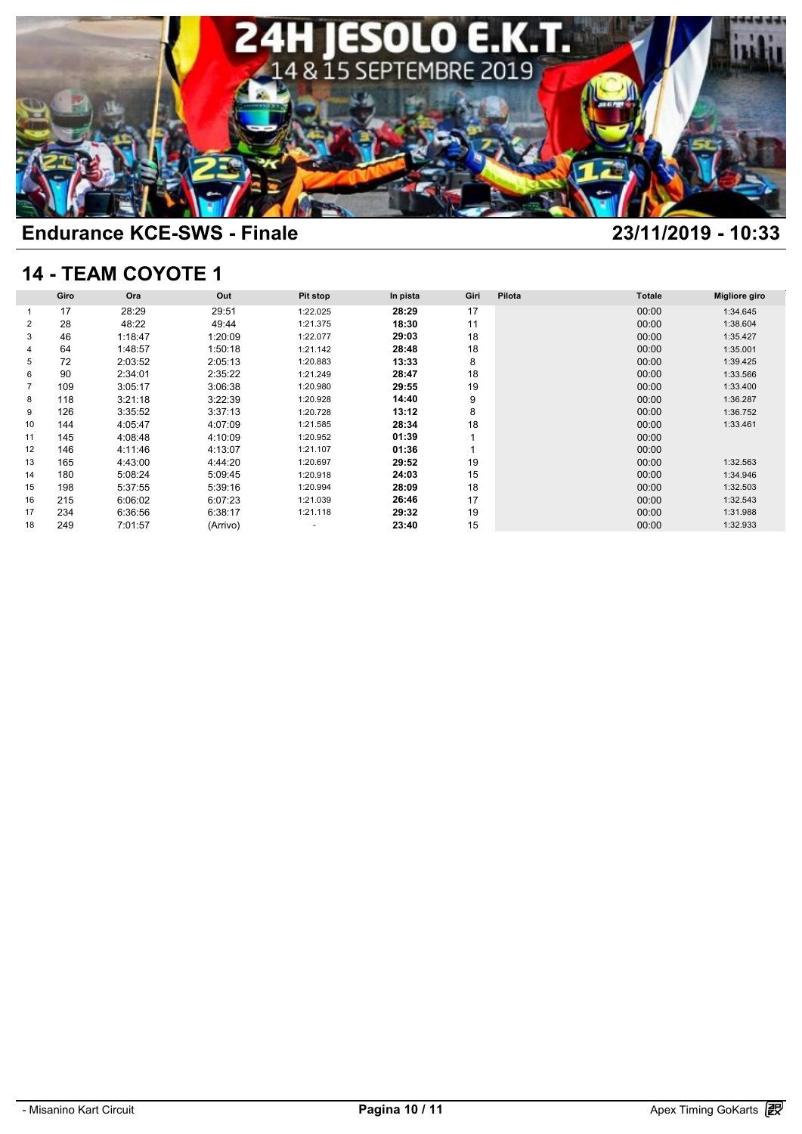

# **14 - TEAM COYOTE 1**

| <b>14 - TEAM COYOTE 1</b> |      |         |          |                          |          |      |        |               |                      |  |  |
|---------------------------|------|---------|----------|--------------------------|----------|------|--------|---------------|----------------------|--|--|
|                           | Giro | Ora     | Out      | <b>Pit stop</b>          | In pista | Giri | Pilota | <b>Totale</b> | <b>Migliore giro</b> |  |  |
|                           | 17   | 28:29   | 29:51    | 1:22.025                 | 28:29    | 17   |        | 00:00         | 1:34.645             |  |  |
| 2                         | 28   | 48:22   | 49:44    | 1:21.375                 | 18:30    | 11   |        | 00:00         | 1:38.604             |  |  |
| 3                         | 46   | 1:18:47 | 1:20:09  | 1:22.077                 | 29:03    | 18   |        | 00:00         | 1:35.427             |  |  |
|                           | 64   | 1:48:57 | 1:50:18  | 1:21.142                 | 28:48    | 18   |        | 00:00         | 1:35.001             |  |  |
| 5                         | 72   | 2:03:52 | 2:05:13  | 1:20.883                 | 13:33    | 8    |        | 00:00         | 1:39.425             |  |  |
| 6                         | 90   | 2:34:01 | 2:35:22  | 1:21.249                 | 28:47    | 18   |        | 00:00         | 1:33.566             |  |  |
| 7                         | 109  | 3:05:17 | 3:06:38  | 1:20.980                 | 29:55    | 19   |        | 00:00         | 1:33.400             |  |  |
| 8                         | 118  | 3:21:18 | 3:22:39  | 1:20.928                 | 14:40    | 9    |        | 00:00         | 1:36.287             |  |  |
| 9                         | 126  | 3:35:52 | 3:37:13  | 1:20.728                 | 13:12    | 8    |        | 00:00         | 1:36.752             |  |  |
| 10                        | 144  | 4:05:47 | 4:07:09  | 1:21.585                 | 28:34    | 18   |        | 00:00         | 1:33.461             |  |  |
| 11                        | 145  | 4:08:48 | 4:10:09  | 1:20.952                 | 01:39    |      |        | 00:00         |                      |  |  |
| 12                        | 146  | 4:11:46 | 4:13:07  | 1:21.107                 | 01:36    | 1    |        | 00:00         |                      |  |  |
| 13                        | 165  | 4:43:00 | 4:44:20  | 1:20.697                 | 29:52    | 19   |        | 00:00         | 1:32.563             |  |  |
| 14                        | 180  | 5:08:24 | 5:09:45  | 1:20.918                 | 24:03    | 15   |        | 00:00         | 1:34.946             |  |  |
| 15                        | 198  | 5:37:55 | 5:39:16  | 1:20.994                 | 28:09    | 18   |        | 00:00         | 1:32.503             |  |  |
| 16                        | 215  | 6:06:02 | 6:07:23  | 1:21.039                 | 26:46    | 17   |        | 00:00         | 1:32.543             |  |  |
| 17                        | 234  | 6:36:56 | 6:38:17  | 1:21.118                 | 29:32    | 19   |        | 00:00         | 1:31.988             |  |  |
| 18                        | 249  | 7:01:57 | (Arrivo) | $\overline{\phantom{a}}$ | 23:40    | 15   |        | 00:00         | 1:32.933             |  |  |